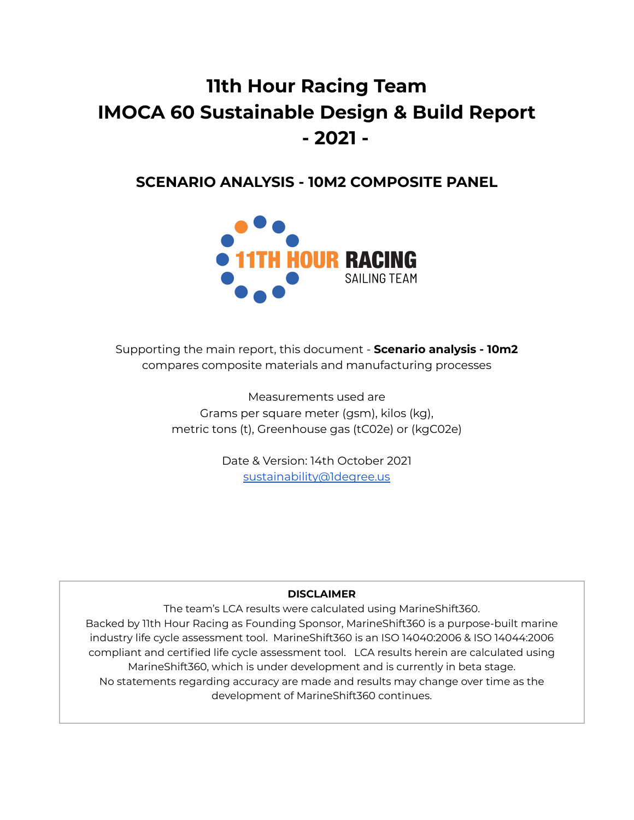# **11th Hour Racing Team IMOCA 60 Sustainable Design & Build Report - 2021 -**

# **SCENARIO ANALYSIS - 10M2 COMPOSITE PANEL**



Supporting the main report, this document - **Scenario analysis - 10m2** compares composite materials and manufacturing processes

> Measurements used are Grams per square meter (gsm), kilos (kg), metric tons (t), Greenhouse gas (tC02e) or (kgC02e)

> > Date & Version: 14th October 2021 [sustainability@1degree.us](mailto:sustainability@1degree.us)

# **DISCLAIMER**

The team's LCA results were calculated using MarineShift360. Backed by 11th Hour Racing as Founding Sponsor, MarineShift360 is a purpose-built marine industry life cycle assessment tool. MarineShift360 is an ISO 14040:2006 & ISO 14044:2006 compliant and certified life cycle assessment tool. LCA results herein are calculated using MarineShift360, which is under development and is currently in beta stage. No statements regarding accuracy are made and results may change over time as the development of MarineShift360 continues.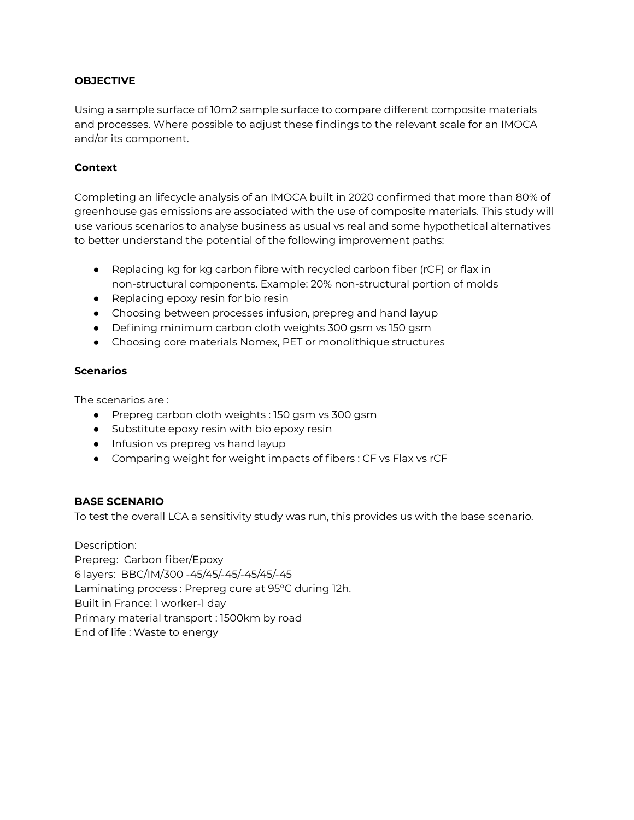#### **OBJECTIVE**

Using a sample surface of 10m2 sample surface to compare different composite materials and processes. Where possible to adjust these findings to the relevant scale for an IMOCA and/or its component.

#### **Context**

Completing an lifecycle analysis of an IMOCA built in 2020 confirmed that more than 80% of greenhouse gas emissions are associated with the use of composite materials. This study will use various scenarios to analyse business as usual vs real and some hypothetical alternatives to better understand the potential of the following improvement paths:

- Replacing kg for kg carbon fibre with recycled carbon fiber (rCF) or flax in non-structural components. Example: 20% non-structural portion of molds
- Replacing epoxy resin for bio resin
- Choosing between processes infusion, prepreg and hand layup
- Defining minimum carbon cloth weights 300 gsm vs 150 gsm
- Choosing core materials Nomex, PET or monolithique structures

#### **Scenarios**

The scenarios are :

- Prepreg carbon cloth weights : 150 gsm vs 300 gsm
- Substitute epoxy resin with bio epoxy resin
- Infusion vs prepreg vs hand layup
- Comparing weight for weight impacts of fibers : CF vs Flax vs rCF

#### **BASE SCENARIO**

To test the overall LCA a sensitivity study was run, this provides us with the base scenario.

Description: Prepreg: Carbon fiber/Epoxy 6 layers: BBC/IM/300 -45/45/-45/-45/45/-45 Laminating process : Prepreg cure at 95°C during 12h. Built in France: 1 worker-1 day Primary material transport : 1500km by road End of life : Waste to energy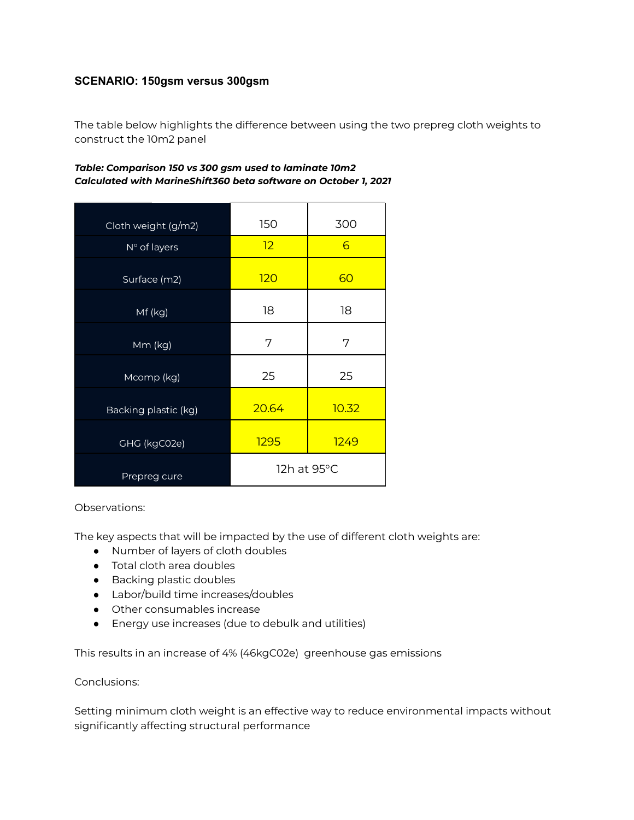# **SCENARIO: 150gsm versus 300gsm**

The table below highlights the difference between using the two prepreg cloth weights to construct the 10m2 panel

#### *Table: Comparison 150 vs 300 gsm used to laminate 10m2 Calculated with MarineShift360 beta software on October 1, 2021*

| Cloth weight (g/m2)  | 150         | 300   |  |
|----------------------|-------------|-------|--|
| N° of layers         | 12<br>6     |       |  |
| Surface (m2)         | 120<br>60   |       |  |
| Mf (kg)              | 18<br>18    |       |  |
| Mm (kg)              | 7           | 7     |  |
| Mcomp (kg)           | 25          | 25    |  |
| Backing plastic (kg) | 20.64       | 10.32 |  |
| GHG (kgC02e)         | 1295        | 1249  |  |
| Prepreg cure         | 12h at 95°C |       |  |

#### Observations:

The key aspects that will be impacted by the use of different cloth weights are:

- Number of layers of cloth doubles
- Total cloth area doubles
- Backing plastic doubles
- Labor/build time increases/doubles
- Other consumables increase
- Energy use increases (due to debulk and utilities)

This results in an increase of 4% (46kgC02e) greenhouse gas emissions

#### Conclusions:

Setting minimum cloth weight is an effective way to reduce environmental impacts without significantly affecting structural performance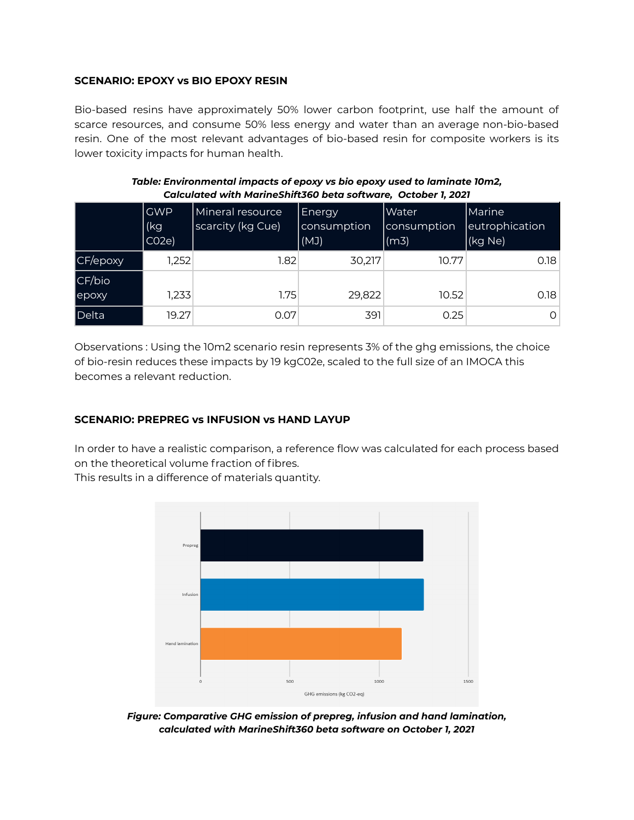#### **SCENARIO: EPOXY vs BIO EPOXY RESIN**

Bio-based resins have approximately 50% lower carbon footprint, use half the amount of scarce resources, and consume 50% less energy and water than an average non-bio-based resin. One of the most relevant advantages of bio-based resin for composite workers is its lower toxicity impacts for human health.

|                  | <b>GWP</b><br>(kg<br>CO <sub>2e</sub> | Mineral resource<br>scarcity (kg Cue) | Energy<br>consumption<br>(MJ) | Water<br> consumption <br>(m3) | Marine<br>eutrophication<br>(kg Ne) |  |  |  |
|------------------|---------------------------------------|---------------------------------------|-------------------------------|--------------------------------|-------------------------------------|--|--|--|
| CF/epoxy         | 1,252                                 | 1.82                                  | 30,217                        | 10.77                          | 0.18                                |  |  |  |
| CF/bio<br> epoxy | 1,233                                 | 1.75                                  | 29,822                        | 10.52                          | 0.18                                |  |  |  |
| Delta            | 19.27                                 | 0.07                                  | 391                           | 0.25                           | O                                   |  |  |  |

#### *Table: Environmental impacts of epoxy vs bio epoxy used to laminate 10m2, Calculated with MarineShift360 beta software, October 1, 2021*

Observations : Using the 10m2 scenario resin represents 3% of the ghg emissions, the choice of bio-resin reduces these impacts by 19 kgC02e, scaled to the full size of an IMOCA this becomes a relevant reduction.

# **SCENARIO: PREPREG vs INFUSION vs HAND LAYUP**

In order to have a realistic comparison, a reference flow was calculated for each process based on the theoretical volume fraction of fibres.

This results in a difference of materials quantity.



*Figure: Comparative GHG emission of prepreg, infusion and hand lamination, calculated with MarineShift360 beta software on October 1, 2021*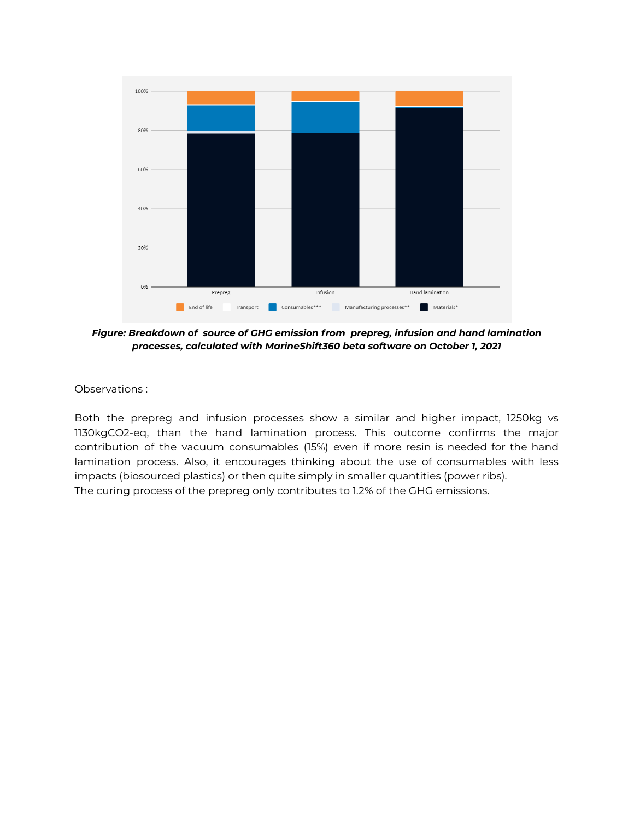

*Figure: Breakdown of source of GHG emission from prepreg, infusion and hand lamination processes, calculated with MarineShift360 beta software on October 1, 2021*

Observations :

Both the prepreg and infusion processes show a similar and higher impact, 1250kg vs 1130kgCO2-eq, than the hand lamination process. This outcome confirms the major contribution of the vacuum consumables (15%) even if more resin is needed for the hand lamination process. Also, it encourages thinking about the use of consumables with less impacts (biosourced plastics) or then quite simply in smaller quantities (power ribs). The curing process of the prepreg only contributes to 1.2% of the GHG emissions.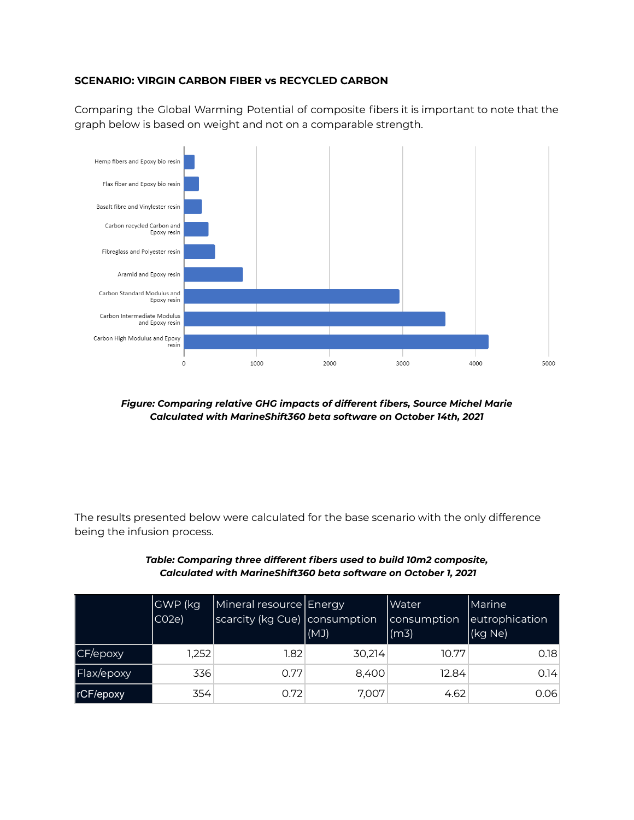#### **SCENARIO: VIRGIN CARBON FIBER vs RECYCLED CARBON**

Comparing the Global Warming Potential of composite fibers it is important to note that the graph below is based on weight and not on a comparable strength.



*Figure: Comparing relative GHG impacts of different fibers, Source Michel Marie Calculated with MarineShift360 beta software on October 14th, 2021*

The results presented below were calculated for the base scenario with the only difference being the infusion process.

|            | GWP (kg<br>CO <sub>2e</sub> | Mineral resource Energy<br>scarcity (kg Cue) consumption | (MJ)   | Water<br>consumption<br>$\vert$ (m3) | Marine<br>eutrophication<br>(kg Ne) |
|------------|-----------------------------|----------------------------------------------------------|--------|--------------------------------------|-------------------------------------|
| CF/epoxy   | 1,252                       | 1.82 <sub>1</sub>                                        | 30,214 | 10.77                                | 0.18                                |
| Flax/epoxy | 336                         | 0.77                                                     | 8,400  | 12.84                                | 0.14                                |
| rCF/epoxy  | 354                         | 0.72                                                     | 7,007  | 4.62                                 | 0.06                                |

*Table: Comparing three different fibers used to build 10m2 composite, Calculated with MarineShift360 beta software on October 1, 2021*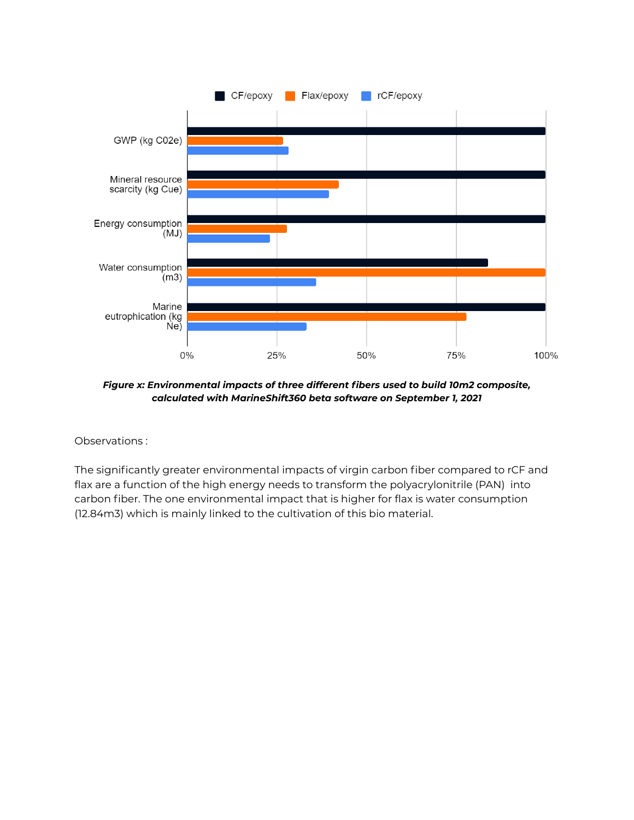

*Figure x: Environmental impacts of three different fibers used to build 10m2 composite, calculated with MarineShift360 beta software on September 1, 2021*

Observations :

The significantly greater environmental impacts of virgin carbon fiber compared to rCF and flax are a function of the high energy needs to transform the polyacrylonitrile (PAN) into carbon fiber. The one environmental impact that is higher for flax is water consumption (12.84m3) which is mainly linked to the cultivation of this bio material.